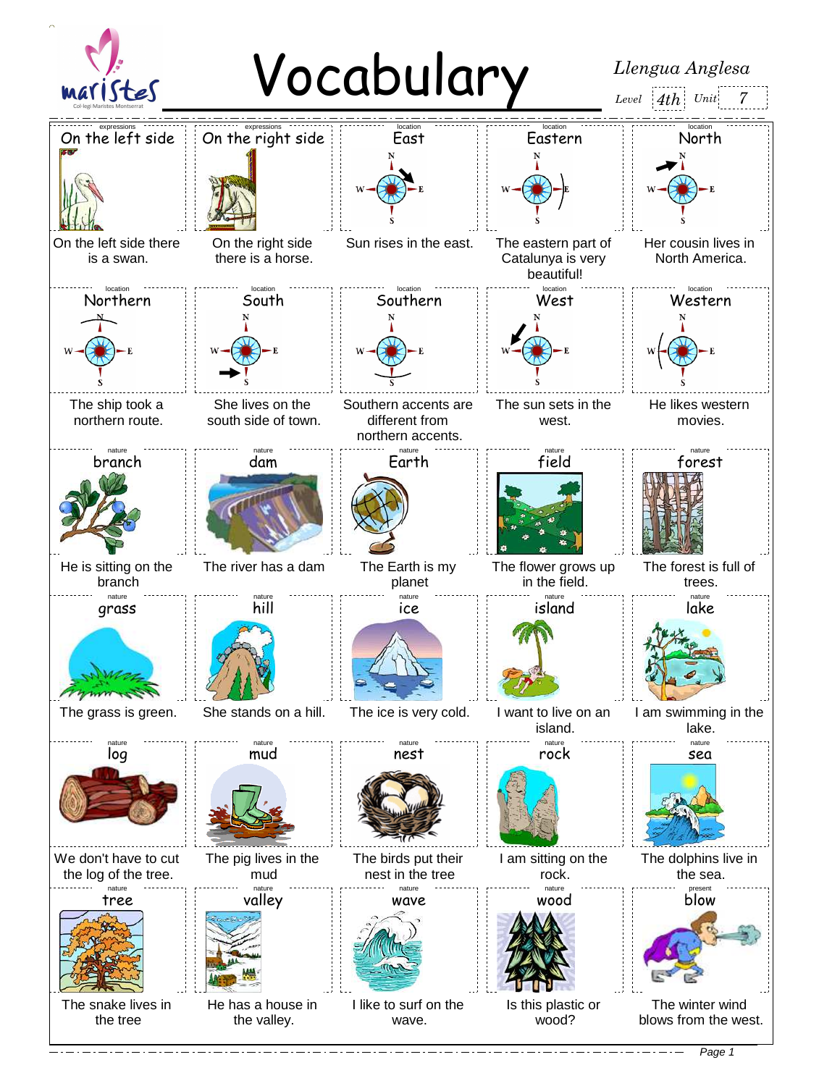

Page 1